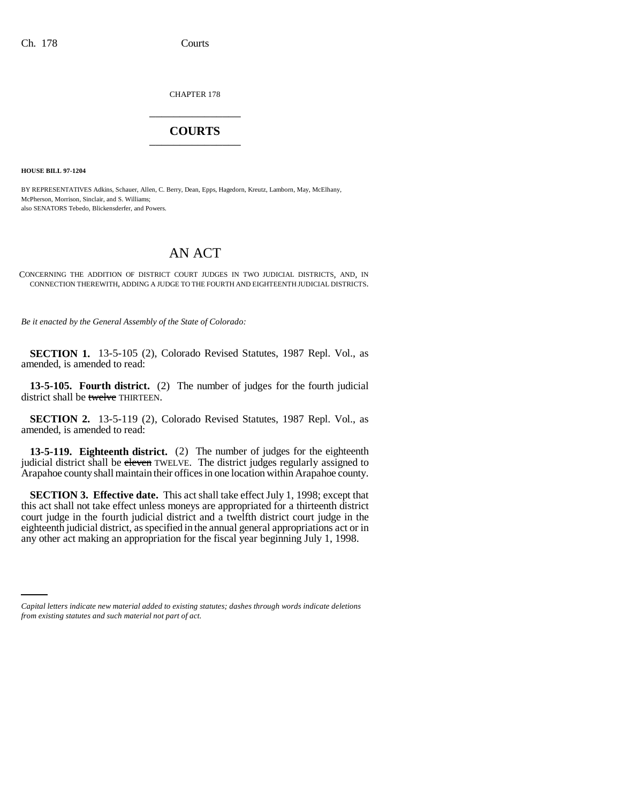CHAPTER 178 \_\_\_\_\_\_\_\_\_\_\_\_\_\_\_

## **COURTS** \_\_\_\_\_\_\_\_\_\_\_\_\_\_\_

**HOUSE BILL 97-1204**

BY REPRESENTATIVES Adkins, Schauer, Allen, C. Berry, Dean, Epps, Hagedorn, Kreutz, Lamborn, May, McElhany, McPherson, Morrison, Sinclair, and S. Williams; also SENATORS Tebedo, Blickensderfer, and Powers.

## AN ACT

CONCERNING THE ADDITION OF DISTRICT COURT JUDGES IN TWO JUDICIAL DISTRICTS, AND, IN CONNECTION THEREWITH, ADDING A JUDGE TO THE FOURTH AND EIGHTEENTH JUDICIAL DISTRICTS.

*Be it enacted by the General Assembly of the State of Colorado:*

**SECTION 1.** 13-5-105 (2), Colorado Revised Statutes, 1987 Repl. Vol., as amended, is amended to read:

**13-5-105. Fourth district.** (2) The number of judges for the fourth judicial district shall be twelve THIRTEEN.

**SECTION 2.** 13-5-119 (2), Colorado Revised Statutes, 1987 Repl. Vol., as amended, is amended to read:

**13-5-119. Eighteenth district.** (2) The number of judges for the eighteenth judicial district shall be eleven TWELVE. The district judges regularly assigned to Arapahoe county shall maintain their offices in one location within Arapahoe county.

any other act making an appropriation for the fiscal year beginning July 1, 1998.**SECTION 3. Effective date.** This act shall take effect July 1, 1998; except that this act shall not take effect unless moneys are appropriated for a thirteenth district court judge in the fourth judicial district and a twelfth district court judge in the eighteenth judicial district, as specified in the annual general appropriations act or in

*Capital letters indicate new material added to existing statutes; dashes through words indicate deletions from existing statutes and such material not part of act.*